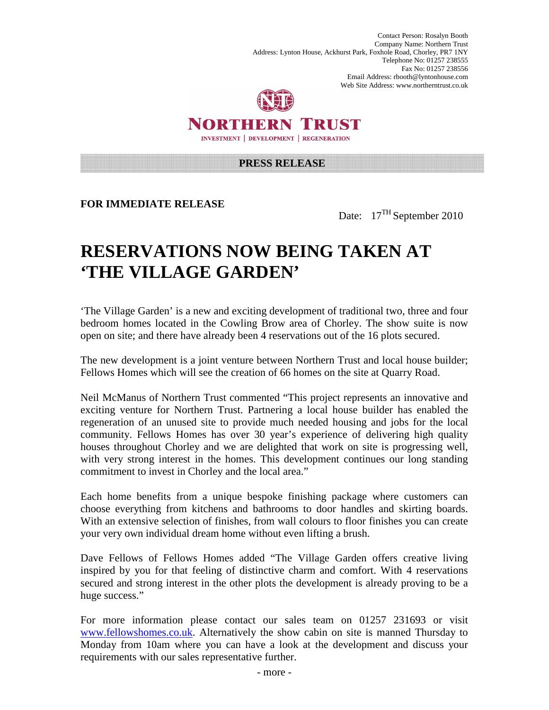Contact Person: Rosalyn Booth Company Name: Northern Trust Address: Lynton House, Ackhurst Park, Foxhole Road, Chorley, PR7 1NY Telephone No: 01257 238555 Fax No: 01257 238556 Email Address: rbooth@lyntonhouse.com Web Site Address: www.northerntrust.co.uk



NORTHERN TRUST **INVESTMENT | DEVELOPMENT | REGENERATION** 

## **PRESS RELEASE**

**FOR IMMEDIATE RELEASE** 

Date: 17<sup>TH</sup> September 2010

## **RESERVATIONS NOW BEING TAKEN AT 'THE VILLAGE GARDEN'**

'The Village Garden' is a new and exciting development of traditional two, three and four bedroom homes located in the Cowling Brow area of Chorley. The show suite is now open on site; and there have already been 4 reservations out of the 16 plots secured.

The new development is a joint venture between Northern Trust and local house builder; Fellows Homes which will see the creation of 66 homes on the site at Quarry Road.

Neil McManus of Northern Trust commented "This project represents an innovative and exciting venture for Northern Trust. Partnering a local house builder has enabled the regeneration of an unused site to provide much needed housing and jobs for the local community. Fellows Homes has over 30 year's experience of delivering high quality houses throughout Chorley and we are delighted that work on site is progressing well, with very strong interest in the homes. This development continues our long standing commitment to invest in Chorley and the local area."

Each home benefits from a unique bespoke finishing package where customers can choose everything from kitchens and bathrooms to door handles and skirting boards. With an extensive selection of finishes, from wall colours to floor finishes you can create your very own individual dream home without even lifting a brush.

Dave Fellows of Fellows Homes added "The Village Garden offers creative living inspired by you for that feeling of distinctive charm and comfort. With 4 reservations secured and strong interest in the other plots the development is already proving to be a huge success."

For more information please contact our sales team on 01257 231693 or visit www.fellowshomes.co.uk. Alternatively the show cabin on site is manned Thursday to Monday from 10am where you can have a look at the development and discuss your requirements with our sales representative further.